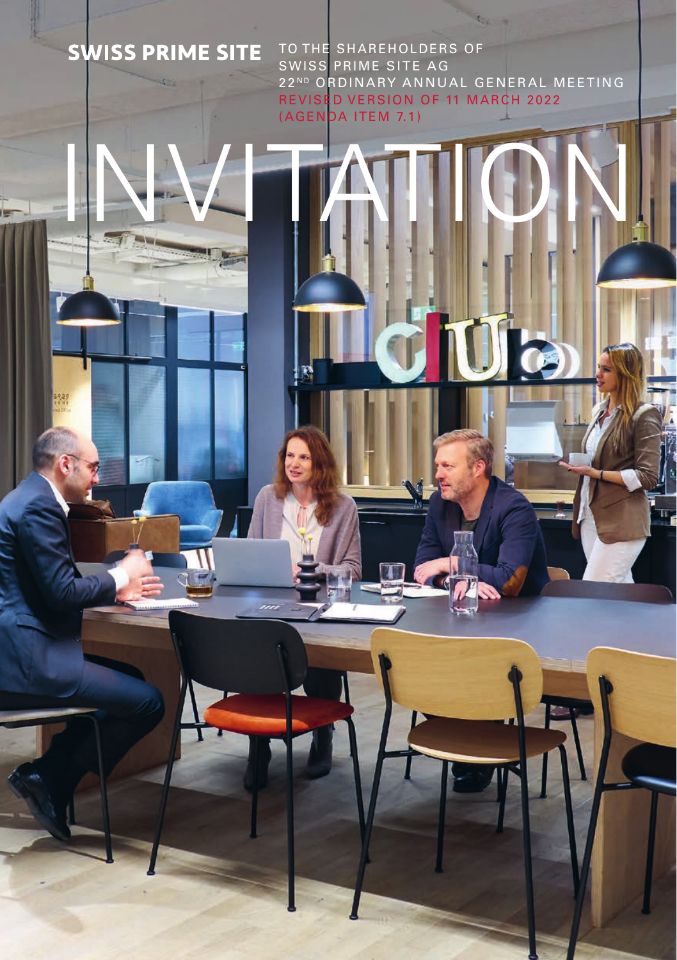## **SWISS PRIME SITE**

TO THE SHAREHOLDERS OF SWISS PRIME SITE AG 22ND ORDINARY ANNUAL GENERAL MEETING REVISED VERSION OF 11 MARCH 2022 (AGENDA ITEM 7.1)

Úb

INVITATION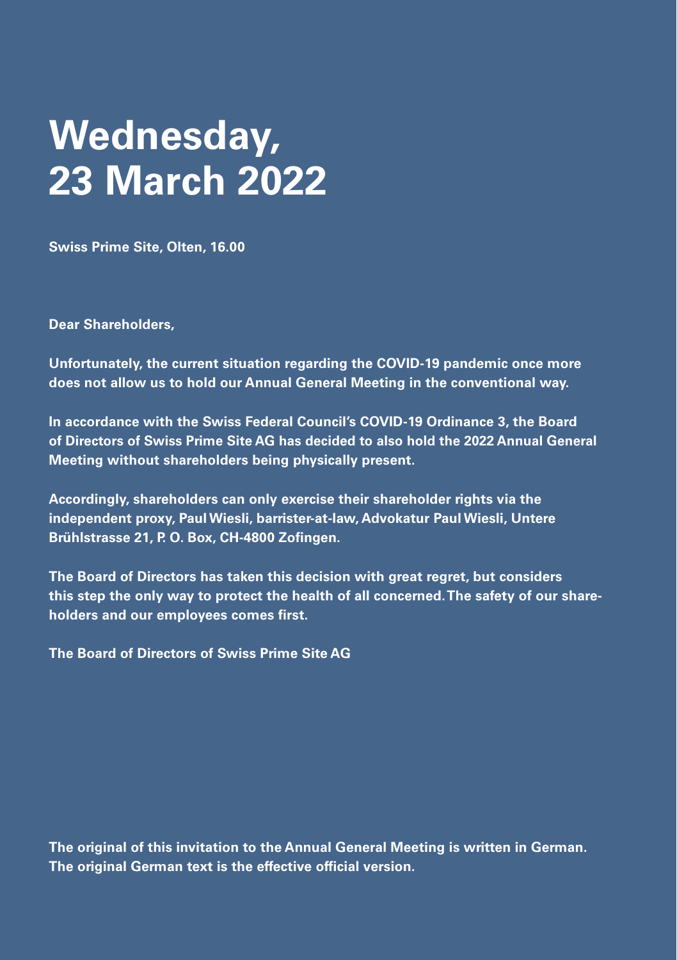# **Wednesday, 23 March 2022**

**Swiss Prime Site, Olten, 16.00**

**Dear Shareholders,**

**Unfortunately, the current situation regarding the COVID-19 pandemic once more does not allow us to hold our Annual General Meeting in the conventional way.**

**In accordance with the Swiss Federal Council's COVID-19 Ordinance 3, the Board of Directors of Swiss Prime Site AG has decided to also hold the 2022 Annual General Meeting without shareholders being physically present.**

**Accordingly, shareholders can only exercise their shareholder rights via the independent proxy, Paul Wiesli, barrister-at-law, Advokatur Paul Wiesli, Untere Brühlstrasse 21, P. O. Box, CH-4800 Zofingen.**

**The Board of Directors has taken this decision with great regret, but considers this step the only way to protect the health of all concerned. The safety of our shareholders and our employees comes first.**

**The Board of Directors of Swiss Prime Site AG**

**The original of this invitation to the Annual General Meeting is written in German. The original German text is the effective official version.**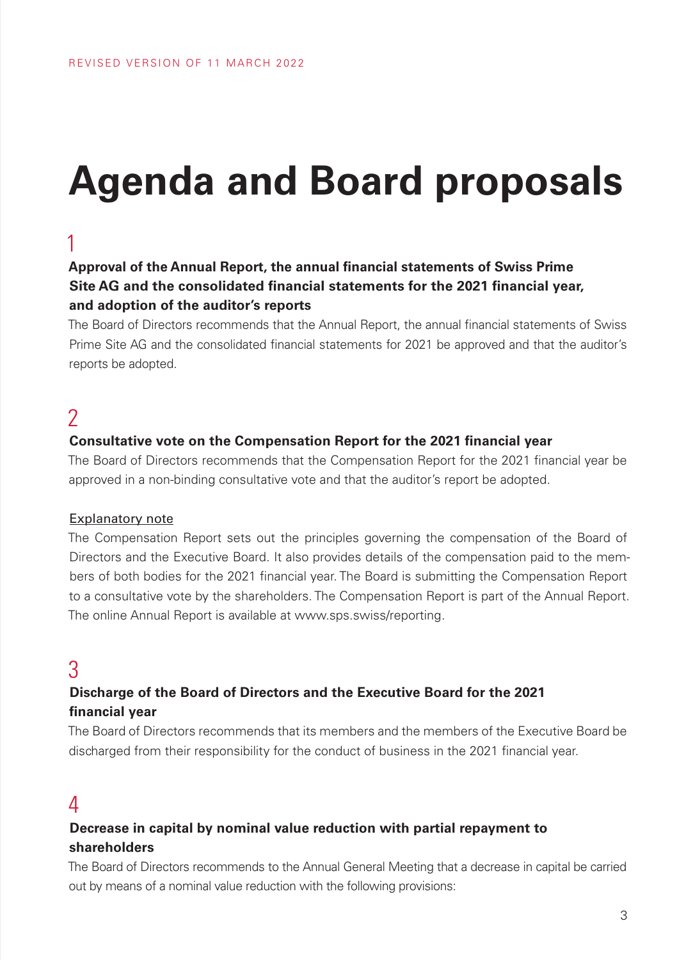# **Agenda and Board proposals**

### 1

### **Approval of the Annual Report, the annual financial statements of Swiss Prime Site AG and the consolidated financial statements for the 2021 financial year, and adoption of the auditor's reports**

The Board of Directors recommends that the Annual Report, the annual financial statements of Swiss Prime Site AG and the consolidated financial statements for 2021 be approved and that the auditor's reports be adopted.

### 2

#### **Consultative vote on the Compensation Report for the 2021 financial year**

The Board of Directors recommends that the Compensation Report for the 2021 financial year be approved in a non-binding consultative vote and that the auditor's report be adopted.

#### Explanatory note

The Compensation Report sets out the principles governing the compensation of the Board of Directors and the Executive Board. It also provides details of the compensation paid to the members of both bodies for the 2021 financial year. The Board is submitting the Compensation Report to a consultative vote by the shareholders. The Compensation Report is part of the Annual Report. The online Annual Report is available at www.sps.swiss/reporting.

### 3

### **Discharge of the Board of Directors and the Executive Board for the 2021 financial year**

The Board of Directors recommends that its members and the members of the Executive Board be discharged from their responsibility for the conduct of business in the 2021 financial year.

### 4

### **Decrease in capital by nominal value reduction with partial repayment to shareholders**

The Board of Directors recommends to the Annual General Meeting that a decrease in capital be carried out by means of a nominal value reduction with the following provisions: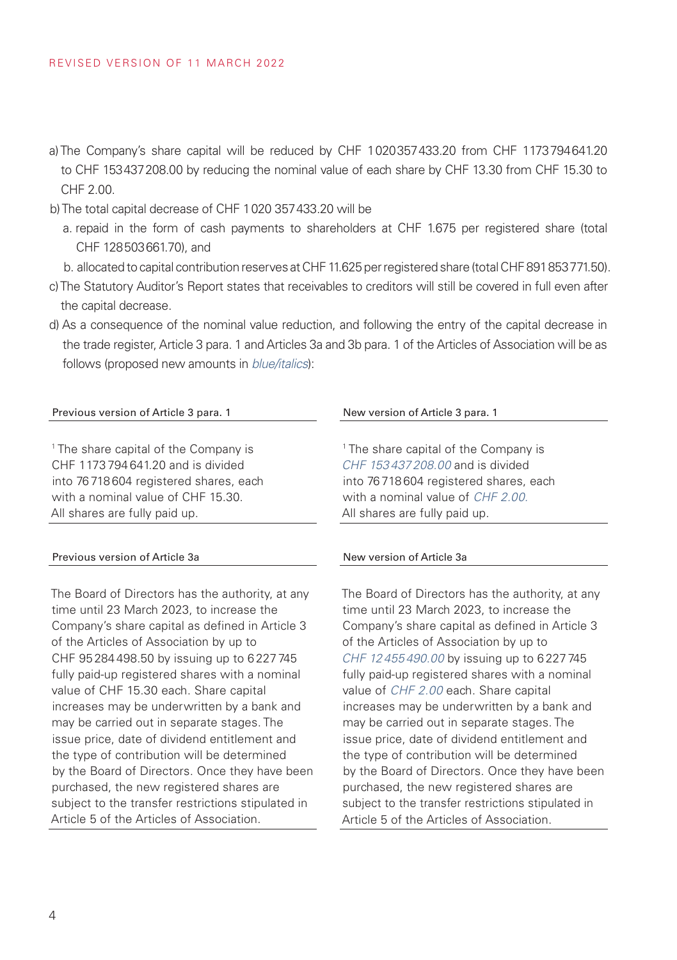- a) The Company's share capital will be reduced by CHF 1020357433.20 from CHF 1173794641.20 to CHF 153437208.00 by reducing the nominal value of each share by CHF 13.30 from CHF 15.30 to CHF 2.00.
- b) The total capital decrease of CHF 1020 357433.20 will be
	- a. repaid in the form of cash payments to shareholders at CHF 1.675 per registered share (total CHF 128503661.70), and
	- b. allocated to capital contribution reserves at CHF 11.625 per registered share (total CHF 891853771.50).
- c) The Statutory Auditor's Report states that receivables to creditors will still be covered in full even after the capital decrease.
- d) As a consequence of the nominal value reduction, and following the entry of the capital decrease in the trade register, Article 3 para. 1 and Articles 3a and 3b para. 1 of the Articles of Association will be as follows (proposed new amounts in *blue/italics*):

#### Previous version of Article 3 para. 1 New version of Article 3 para. 1

1 The share capital of the Company is CHF 1173 794 641.20 and is divided into 76 718 604 registered shares, each with a nominal value of CHF 15.30. All shares are fully paid up.

#### Previous version of Article 3a New version of Article 3a

The Board of Directors has the authority, at any time until 23 March 2023, to increase the Company's share capital as defined in Article 3 of the Articles of Association by up to CHF 95 284 498.50 by issuing up to 6 227 745 fully paid-up registered shares with a nominal value of CHF 15.30 each. Share capital increases may be underwritten by a bank and may be carried out in separate stages. The issue price, date of dividend entitlement and the type of contribution will be determined by the Board of Directors. Once they have been purchased, the new registered shares are subject to the transfer restrictions stipulated in Article 5 of the Articles of Association.

1 The share capital of the Company is *CHF 153 437 208.00* and is divided into 76 718 604 registered shares, each with a nominal value of *CHF 2.00.* All shares are fully paid up.

The Board of Directors has the authority, at any time until 23 March 2023, to increase the Company's share capital as defined in Article 3 of the Articles of Association by up to *CHF 12 455 490.00* by issuing up to 6 227 745 fully paid-up registered shares with a nominal value of *CHF 2.00* each. Share capital increases may be underwritten by a bank and may be carried out in separate stages. The issue price, date of dividend entitlement and the type of contribution will be determined by the Board of Directors. Once they have been purchased, the new registered shares are subject to the transfer restrictions stipulated in Article 5 of the Articles of Association.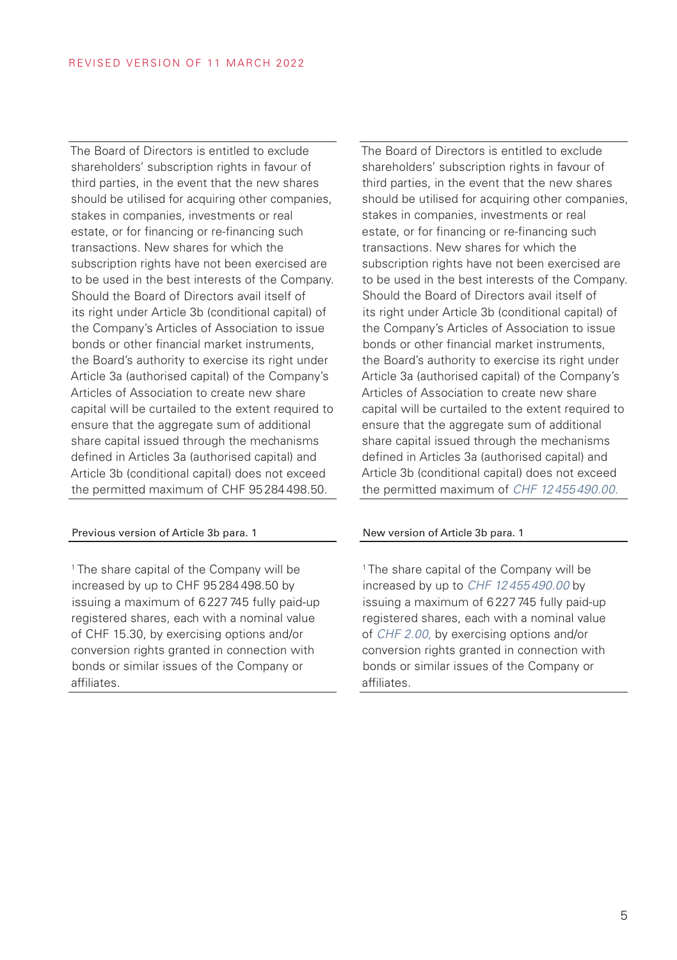The Board of Directors is entitled to exclude shareholders' subscription rights in favour of third parties, in the event that the new shares should be utilised for acquiring other companies. stakes in companies, investments or real estate, or for financing or re-financing such transactions. New shares for which the subscription rights have not been exercised are to be used in the best interests of the Company. Should the Board of Directors avail itself of its right under Article 3b (conditional capital) of the Company's Articles of Association to issue bonds or other financial market instruments, the Board's authority to exercise its right under Article 3a (authorised capital) of the Company's Articles of Association to create new share capital will be curtailed to the extent required to ensure that the aggregate sum of additional share capital issued through the mechanisms defined in Articles 3a (authorised capital) and Article 3b (conditional capital) does not exceed the permitted maximum of CHF 95 284 498.50.

#### Previous version of Article 3b para. 1 New version of Article 3b para. 1

1 The share capital of the Company will be increased by up to CHF 95 284 498.50 by issuing a maximum of 6 227 745 fully paid-up registered shares, each with a nominal value of CHF 15.30, by exercising options and/or conversion rights granted in connection with bonds or similar issues of the Company or affiliates.

The Board of Directors is entitled to exclude shareholders' subscription rights in favour of third parties, in the event that the new shares should be utilised for acquiring other companies, stakes in companies, investments or real estate, or for financing or re-financing such transactions. New shares for which the subscription rights have not been exercised are to be used in the best interests of the Company. Should the Board of Directors avail itself of its right under Article 3b (conditional capital) of the Company's Articles of Association to issue bonds or other financial market instruments, the Board's authority to exercise its right under Article 3a (authorised capital) of the Company's Articles of Association to create new share capital will be curtailed to the extent required to ensure that the aggregate sum of additional share capital issued through the mechanisms defined in Articles 3a (authorised capital) and Article 3b (conditional capital) does not exceed the permitted maximum of *CHF 12 455 490.00.*

1 The share capital of the Company will be increased by up to *CHF 12 455 490.00* by issuing a maximum of 6 227 745 fully paid-up registered shares, each with a nominal value of *CHF 2.00,* by exercising options and/or conversion rights granted in connection with bonds or similar issues of the Company or affiliates.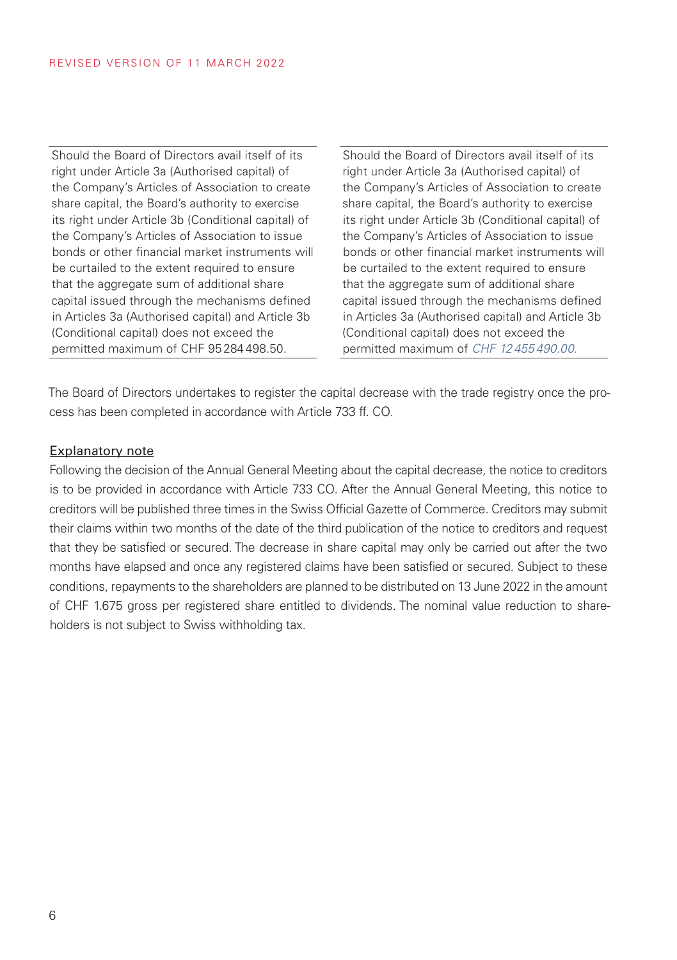Should the Board of Directors avail itself of its right under Article 3a (Authorised capital) of the Company's Articles of Association to create share capital, the Board's authority to exercise its right under Article 3b (Conditional capital) of the Company's Articles of Association to issue bonds or other financial market instruments will be curtailed to the extent required to ensure that the aggregate sum of additional share capital issued through the mechanisms defined in Articles 3a (Authorised capital) and Article 3b (Conditional capital) does not exceed the permitted maximum of CHF 95 284 498.50.

Should the Board of Directors avail itself of its right under Article 3a (Authorised capital) of the Company's Articles of Association to create share capital, the Board's authority to exercise its right under Article 3b (Conditional capital) of the Company's Articles of Association to issue bonds or other financial market instruments will be curtailed to the extent required to ensure that the aggregate sum of additional share capital issued through the mechanisms defined in Articles 3a (Authorised capital) and Article 3b (Conditional capital) does not exceed the permitted maximum of *CHF 12 455 490.00.*

The Board of Directors undertakes to register the capital decrease with the trade registry once the process has been completed in accordance with Article 733 ff. CO.

#### Explanatory note

Following the decision of the Annual General Meeting about the capital decrease, the notice to creditors is to be provided in accordance with Article 733 CO. After the Annual General Meeting, this notice to creditors will be published three times in the Swiss Official Gazette of Commerce. Creditors may submit their claims within two months of the date of the third publication of the notice to creditors and request that they be satisfied or secured. The decrease in share capital may only be carried out after the two months have elapsed and once any registered claims have been satisfied or secured. Subject to these conditions, repayments to the shareholders are planned to be distributed on 13 June 2022 in the amount of CHF 1.675 gross per registered share entitled to dividends. The nominal value reduction to shareholders is not subject to Swiss withholding tax.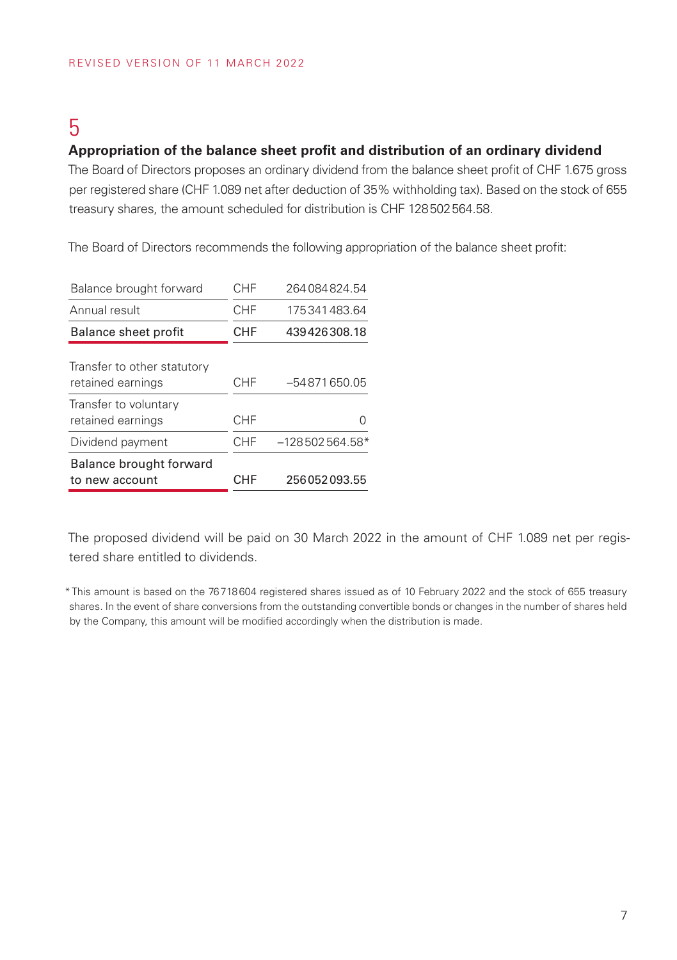## 5

#### **Appropriation of the balance sheet profit and distribution of an ordinary dividend**

The Board of Directors proposes an ordinary dividend from the balance sheet profit of CHF 1.675 gross per registered share (CHF 1.089 net after deduction of 35% withholding tax). Based on the stock of 655 treasury shares, the amount scheduled for distribution is CHF 128502564.58.

The Board of Directors recommends the following appropriation of the balance sheet profit:

| Balance brought forward                          | CHF        | 264084824.54     |
|--------------------------------------------------|------------|------------------|
| Annual result                                    | CHF        | 175341483.64     |
| Balance sheet profit                             | <b>CHF</b> | 439426308.18     |
| Transfer to other statutory<br>retained earnings | CHF        | -54871650.05     |
| Transfer to voluntary<br>retained earnings       | <b>CHF</b> |                  |
| Dividend payment                                 | CHF        | $-128502564.58*$ |
| Balance brought forward<br>to new account        | CHF        | 256052093.55     |

The proposed dividend will be paid on 30 March 2022 in the amount of CHF 1.089 net per registered share entitled to dividends.

<sup>\*</sup>This amount is based on the 76718604 registered shares issued as of 10 February 2022 and the stock of 655 treasury shares. In the event of share conversions from the outstanding convertible bonds or changes in the number of shares held by the Company, this amount will be modified accordingly when the distribution is made.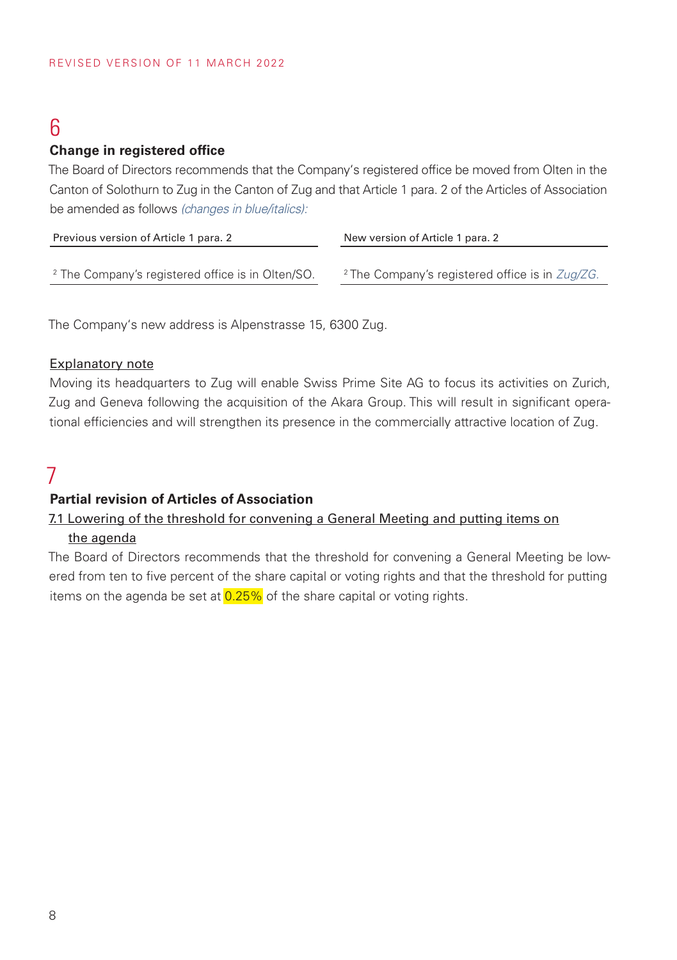## 6

#### **Change in registered office**

The Board of Directors recommends that the Company's registered office be moved from Olten in the Canton of Solothurn to Zug in the Canton of Zug and that Article 1 para. 2 of the Articles of Association be amended as follows *(changes in blue/italics):*

| Previous version of Article 1 para. 2                        | New version of Article 1 para. 2                           |  |
|--------------------------------------------------------------|------------------------------------------------------------|--|
|                                                              |                                                            |  |
| <sup>2</sup> The Company's registered office is in Olten/SO. | <sup>2</sup> The Company's registered office is in Zug/ZG. |  |

The Company's new address is Alpenstrasse 15, 6300 Zug.

#### Explanatory note

Moving its headquarters to Zug will enable Swiss Prime Site AG to focus its activities on Zurich, Zug and Geneva following the acquisition of the Akara Group. This will result in significant operational efficiencies and will strengthen its presence in the commercially attractive location of Zug.

## 7

#### **Partial revision of Articles of Association**

#### 7.1 Lowering of the threshold for convening a General Meeting and putting items on

#### the agenda

The Board of Directors recommends that the threshold for convening a General Meeting be lowered from ten to five percent of the share capital or voting rights and that the threshold for putting items on the agenda be set at  $0.25\%$  of the share capital or voting rights.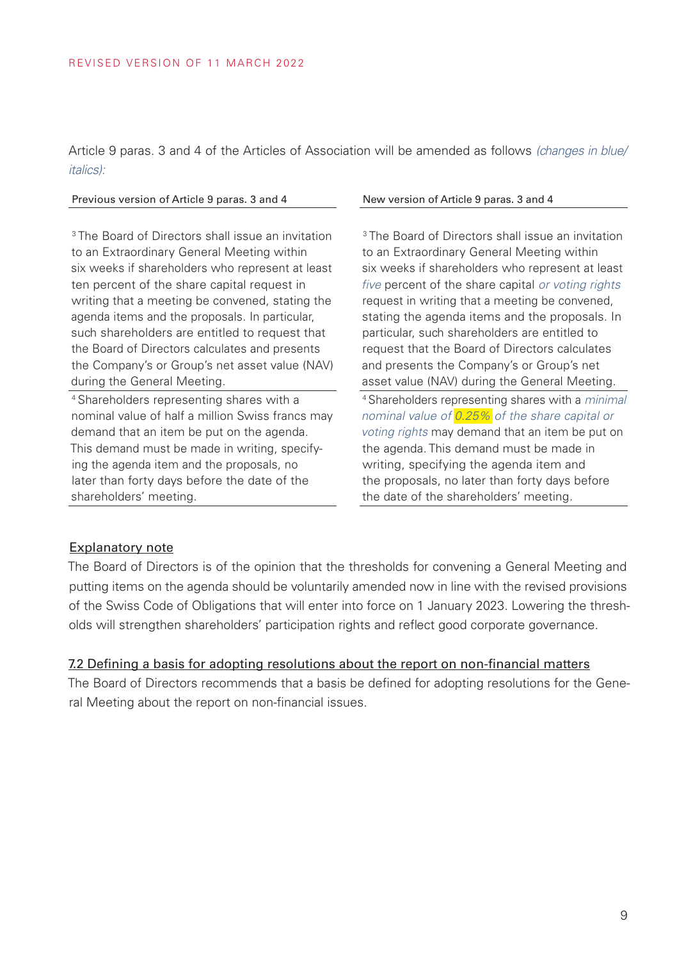Article 9 paras. 3 and 4 of the Articles of Association will be amended as follows *(changes in blue/ italics):*

#### Previous version of Article 9 paras. 3 and 4 New version of Article 9 paras. 3 and 4

<sup>3</sup> The Board of Directors shall issue an invitation to an Extraordinary General Meeting within six weeks if shareholders who represent at least ten percent of the share capital request in writing that a meeting be convened, stating the agenda items and the proposals. In particular, such shareholders are entitled to request that the Board of Directors calculates and presents the Company's or Group's net asset value (NAV) during the General Meeting.

4 Shareholders representing shares with a nominal value of half a million Swiss francs may demand that an item be put on the agenda. This demand must be made in writing, specifying the agenda item and the proposals, no later than forty days before the date of the shareholders' meeting.

<sup>3</sup> The Board of Directors shall issue an invitation to an Extraordinary General Meeting within six weeks if shareholders who represent at least *five* percent of the share capital *or voting rights* request in writing that a meeting be convened, stating the agenda items and the proposals. In particular, such shareholders are entitled to request that the Board of Directors calculates and presents the Company's or Group's net asset value (NAV) during the General Meeting. 4 Shareholders representing shares with a *minimal nominal value of 0.25% of the share capital or voting rights* may demand that an item be put on the agenda. This demand must be made in writing, specifying the agenda item and the proposals, no later than forty days before the date of the shareholders' meeting.

#### Explanatory note

The Board of Directors is of the opinion that the thresholds for convening a General Meeting and putting items on the agenda should be voluntarily amended now in line with the revised provisions of the Swiss Code of Obligations that will enter into force on 1 January 2023. Lowering the thresholds will strengthen shareholders' participation rights and reflect good corporate governance.

#### 7.2 Defining a basis for adopting resolutions about the report on non-financial matters

The Board of Directors recommends that a basis be defined for adopting resolutions for the General Meeting about the report on non-financial issues.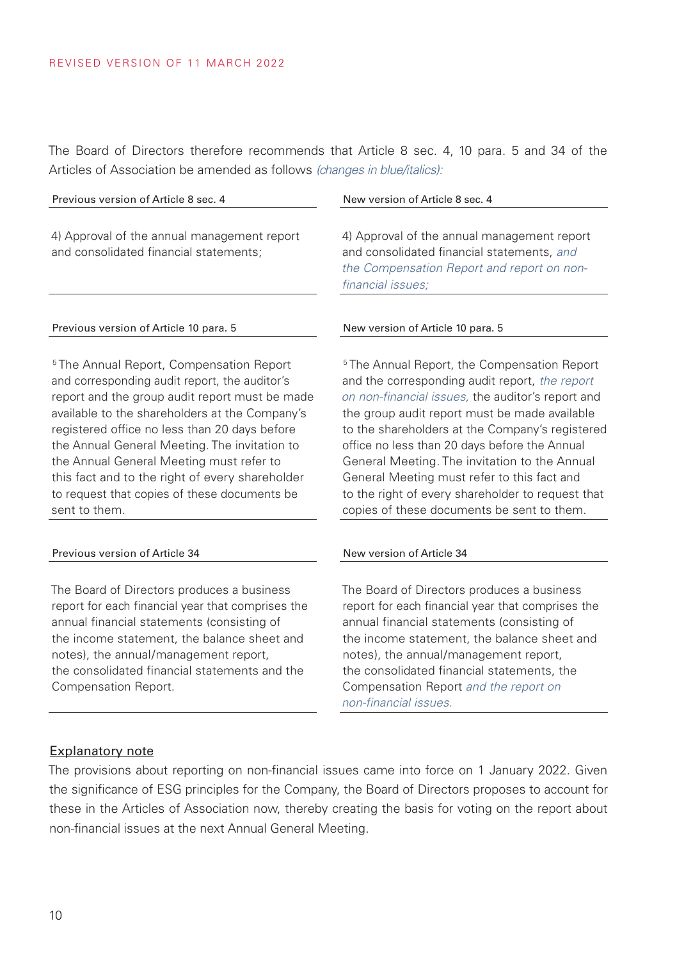The Board of Directors therefore recommends that Article 8 sec. 4, 10 para. 5 and 34 of the Articles of Association be amended as follows *(changes in blue/italics):*

| Previous version of Article 8 sec. 4                                                                                                                                                                                                                                                                       | New version of Article 8 sec. 4                                                                                                                                                                                                                                                                                    |  |
|------------------------------------------------------------------------------------------------------------------------------------------------------------------------------------------------------------------------------------------------------------------------------------------------------------|--------------------------------------------------------------------------------------------------------------------------------------------------------------------------------------------------------------------------------------------------------------------------------------------------------------------|--|
| 4) Approval of the annual management report<br>and consolidated financial statements;                                                                                                                                                                                                                      | 4) Approval of the annual management report<br>and consolidated financial statements, and<br>the Compensation Report and report on non-<br>financial issues;                                                                                                                                                       |  |
| Previous version of Article 10 para. 5                                                                                                                                                                                                                                                                     | New version of Article 10 para. 5                                                                                                                                                                                                                                                                                  |  |
| <sup>5</sup> The Annual Report, Compensation Report<br>and corresponding audit report, the auditor's<br>report and the group audit report must be made<br>available to the shareholders at the Company's<br>registered office no less than 20 days before<br>the Annual General Meeting. The invitation to | <sup>5</sup> The Annual Report, the Compensation Report<br>and the corresponding audit report, the report<br>on non-financial issues, the auditor's report and<br>the group audit report must be made available<br>to the shareholders at the Company's registere<br>office no less than 20 days before the Annual |  |

the Annual General Meeting must refer to this fact and to the right of every shareholder to request that copies of these documents be sent to them.

#### Previous version of Article 34 New version of Article 34

The Board of Directors produces a business report for each financial year that comprises the annual financial statements (consisting of the income statement, the balance sheet and notes), the annual/management report, the consolidated financial statements and the Compensation Report.

and the corresponding audit report, *the report*  eport and available tegistered Annual General Meeting. The invitation to the Annual General Meeting must refer to this fact and to the right of every shareholder to request that copies of these documents be sent to them.

The Board of Directors produces a business report for each financial year that comprises the annual financial statements (consisting of the income statement, the balance sheet and notes), the annual/management report, the consolidated financial statements, the Compensation Report *and the report on non-financial issues.*

#### Explanatory note

The provisions about reporting on non-financial issues came into force on 1 January 2022. Given the significance of ESG principles for the Company, the Board of Directors proposes to account for these in the Articles of Association now, thereby creating the basis for voting on the report about non-financial issues at the next Annual General Meeting.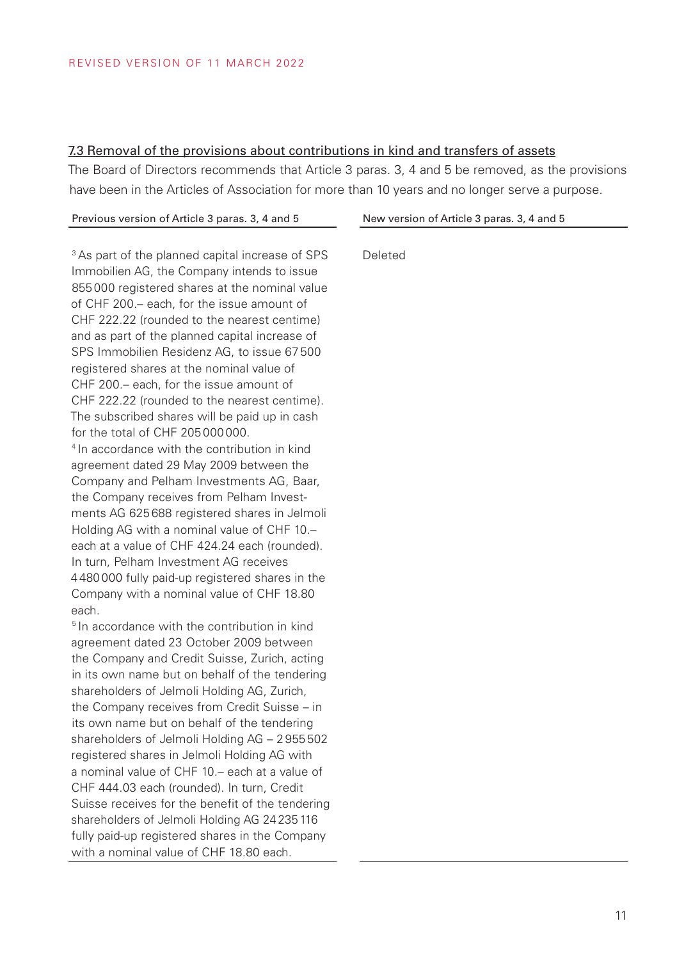#### 7.3 Removal of the provisions about contributions in kind and transfers of assets

The Board of Directors recommends that Article 3 paras. 3, 4 and 5 be removed, as the provisions have been in the Articles of Association for more than 10 years and no longer serve a purpose.

| Previous version of Article 3 paras. 3, 4 and 5                   | New version of Article 3 paras. 3, 4 and 5 |
|-------------------------------------------------------------------|--------------------------------------------|
|                                                                   |                                            |
| <sup>3</sup> As part of the planned capital increase of SPS       | Deleted                                    |
| Immobilien AG, the Company intends to issue                       |                                            |
| 855000 registered shares at the nominal value                     |                                            |
| of CHF 200. - each, for the issue amount of                       |                                            |
| CHF 222.22 (rounded to the nearest centime)                       |                                            |
| and as part of the planned capital increase of                    |                                            |
| SPS Immobilien Residenz AG, to issue 67500                        |                                            |
| registered shares at the nominal value of                         |                                            |
| CHF 200.- each, for the issue amount of                           |                                            |
| CHF 222.22 (rounded to the nearest centime).                      |                                            |
| The subscribed shares will be paid up in cash                     |                                            |
| for the total of CHF 205000000.                                   |                                            |
| <sup>4</sup> In accordance with the contribution in kind          |                                            |
| agreement dated 29 May 2009 between the                           |                                            |
| Company and Pelham Investments AG, Baar,                          |                                            |
| the Company receives from Pelham Invest-                          |                                            |
| ments AG 625 688 registered shares in Jelmoli                     |                                            |
| Holding AG with a nominal value of CHF 10.-                       |                                            |
| each at a value of CHF 424.24 each (rounded).                     |                                            |
| In turn, Pelham Investment AG receives                            |                                            |
| 4480000 fully paid-up registered shares in the                    |                                            |
| Company with a nominal value of CHF 18.80                         |                                            |
| each.<br><sup>5</sup> In accordance with the contribution in kind |                                            |
| agreement dated 23 October 2009 between                           |                                            |
| the Company and Credit Suisse, Zurich, acting                     |                                            |
| in its own name but on behalf of the tendering                    |                                            |
| shareholders of Jelmoli Holding AG, Zurich,                       |                                            |
| the Company receives from Credit Suisse - in                      |                                            |
| its own name but on behalf of the tendering                       |                                            |
| shareholders of Jelmoli Holding AG - 2955502                      |                                            |
| registered shares in Jelmoli Holding AG with                      |                                            |
| a nominal value of CHF 10.- each at a value of                    |                                            |
| CHF 444.03 each (rounded). In turn, Credit                        |                                            |
| Suisse receives for the benefit of the tendering                  |                                            |
| shareholders of Jelmoli Holding AG 24 235 116                     |                                            |
| fully paid-up registered shares in the Company                    |                                            |
| with a nominal value of CHF 18.80 each.                           |                                            |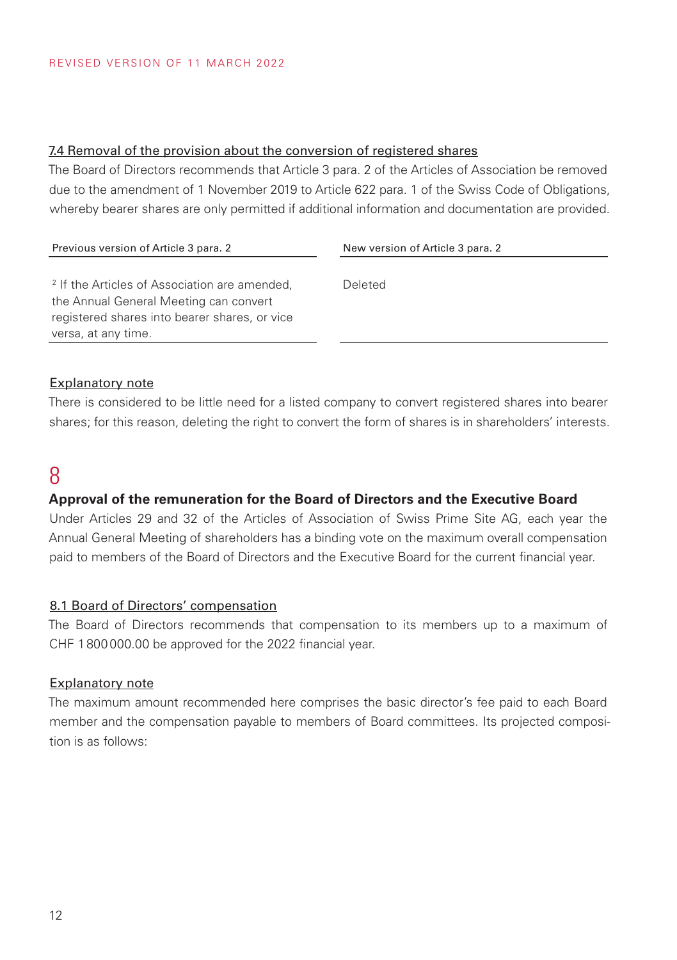#### 7.4 Removal of the provision about the conversion of registered shares

The Board of Directors recommends that Article 3 para. 2 of the Articles of Association be removed due to the amendment of 1 November 2019 to Article 622 para. 1 of the Swiss Code of Obligations, whereby bearer shares are only permitted if additional information and documentation are provided.

| Previous version of Article 3 para. 2                                                                                                                                      | New version of Article 3 para. 2 |
|----------------------------------------------------------------------------------------------------------------------------------------------------------------------------|----------------------------------|
| <sup>2</sup> If the Articles of Association are amended,<br>the Annual General Meeting can convert<br>registered shares into bearer shares, or vice<br>versa, at any time. | Deleted                          |
|                                                                                                                                                                            |                                  |

#### Explanatory note

There is considered to be little need for a listed company to convert registered shares into bearer shares; for this reason, deleting the right to convert the form of shares is in shareholders' interests.

### 8

#### **Approval of the remuneration for the Board of Directors and the Executive Board**

Under Articles 29 and 32 of the Articles of Association of Swiss Prime Site AG, each year the Annual General Meeting of shareholders has a binding vote on the maximum overall compensation paid to members of the Board of Directors and the Executive Board for the current financial year.

#### 8.1 Board of Directors' compensation

The Board of Directors recommends that compensation to its members up to a maximum of CHF 1800000.00 be approved for the 2022 financial year.

#### Explanatory note

The maximum amount recommended here comprises the basic director's fee paid to each Board member and the compensation payable to members of Board committees. Its projected composition is as follows: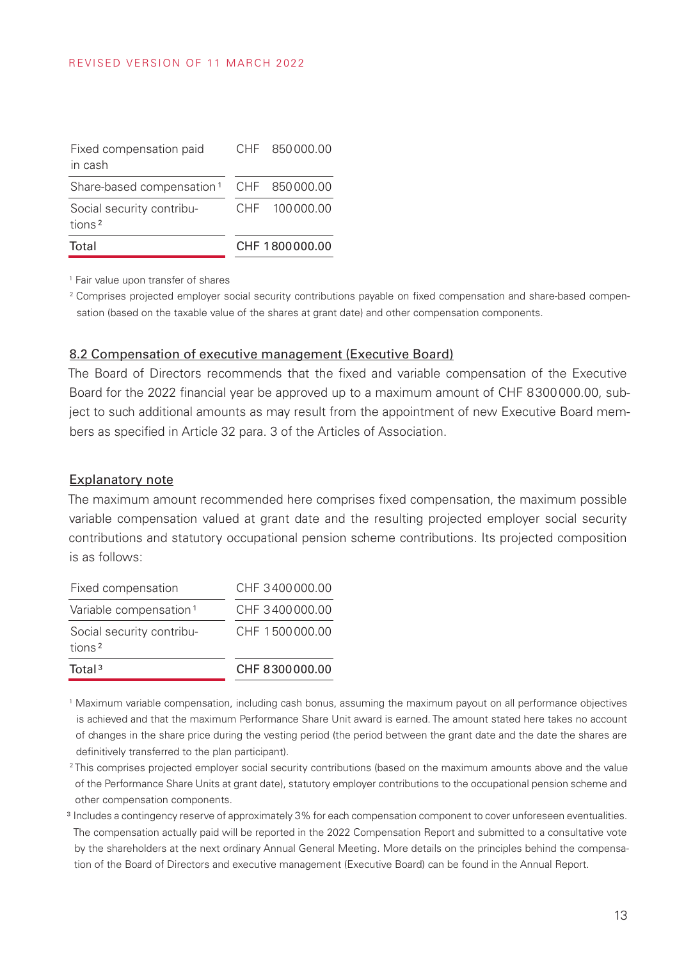| Total                                           | CHF 1800000.00 |
|-------------------------------------------------|----------------|
| Social security contribu-<br>tions <sup>2</sup> | CHF 100000.00  |
| Share-based compensation <sup>1</sup>           | CHF 850000.00  |
| Fixed compensation paid<br>in cash              | CHF 850000.00  |

<sup>1</sup> Fair value upon transfer of shares

<sup>2</sup> Comprises projected employer social security contributions payable on fixed compensation and share-based compensation (based on the taxable value of the shares at grant date) and other compensation components.

#### 8.2 Compensation of executive management (Executive Board)

The Board of Directors recommends that the fixed and variable compensation of the Executive Board for the 2022 financial year be approved up to a maximum amount of CHF 8300000.00, subject to such additional amounts as may result from the appointment of new Executive Board members as specified in Article 32 para. 3 of the Articles of Association.

#### Explanatory note

The maximum amount recommended here comprises fixed compensation, the maximum possible variable compensation valued at grant date and the resulting projected employer social security contributions and statutory occupational pension scheme contributions. Its projected composition is as follows:

| Total <sup>3</sup>                              | CHF 8300000.00 |
|-------------------------------------------------|----------------|
| Social security contribu-<br>tions <sup>2</sup> | CHE 1500000.00 |
| Variable compensation <sup>1</sup>              | CHF 3400000.00 |
| Fixed compensation                              | CHF 3400000.00 |

<sup>1</sup> Maximum variable compensation, including cash bonus, assuming the maximum payout on all performance objectives is achieved and that the maximum Performance Share Unit award is earned. The amount stated here takes no account of changes in the share price during the vesting period (the period between the grant date and the date the shares are definitively transferred to the plan participant).

- <sup>2</sup>This comprises projected employer social security contributions (based on the maximum amounts above and the value of the Performance Share Units at grant date), statutory employer contributions to the occupational pension scheme and other compensation components.
- ³ Includes a contingency reserve of approximately 3% for each compensation component to cover unforeseen eventualities. The compensation actually paid will be reported in the 2022 Compensation Report and submitted to a consultative vote by the shareholders at the next ordinary Annual General Meeting. More details on the principles behind the compensation of the Board of Directors and executive management (Executive Board) can be found in the Annual Report.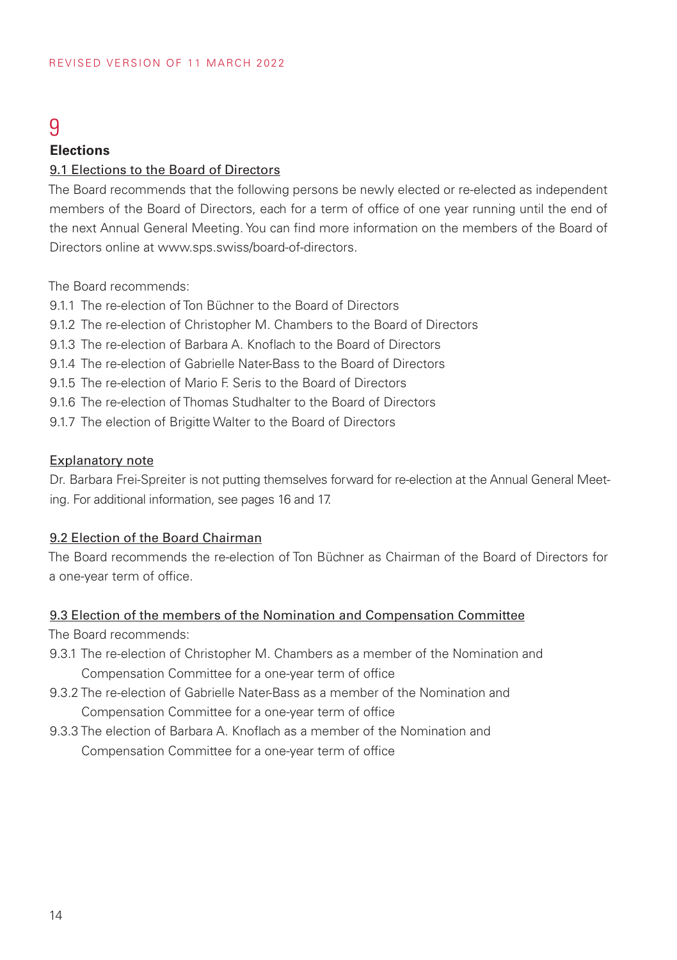## 9

### **Elections**

#### 9.1 Elections to the Board of Directors

The Board recommends that the following persons be newly elected or re-elected as independent members of the Board of Directors, each for a term of office of one year running until the end of the next Annual General Meeting. You can find more information on the members of the Board of Directors online at www.sps.swiss/board-of-directors.

The Board recommends:

9.1.1 The re-election of Ton Büchner to the Board of Directors

9.1.2 The re-election of Christopher M. Chambers to the Board of Directors

9.1.3 The re-election of Barbara A. Knoflach to the Board of Directors

9.1.4 The re-election of Gabrielle Nater-Bass to the Board of Directors

9.1.5 The re-election of Mario F. Seris to the Board of Directors

9.1.6 The re-election of Thomas Studhalter to the Board of Directors

9.1.7 The election of Brigitte Walter to the Board of Directors

#### Explanatory note

Dr. Barbara Frei-Spreiter is not putting themselves forward for re-election at the Annual General Meeting. For additional information, see pages 16 and 17.

#### 9.2 Election of the Board Chairman

The Board recommends the re-election of Ton Büchner as Chairman of the Board of Directors for a one-year term of office.

### 9.3 Election of the members of the Nomination and Compensation Committee

The Board recommends:

- 9.3.1 The re-election of Christopher M. Chambers as a member of the Nomination and Compensation Committee for a one-year term of office
- 9.3.2 The re-election of Gabrielle Nater-Bass as a member of the Nomination and Compensation Committee for a one-year term of office
- 9.3.3 The election of Barbara A. Knoflach as a member of the Nomination and Compensation Committee for a one-year term of office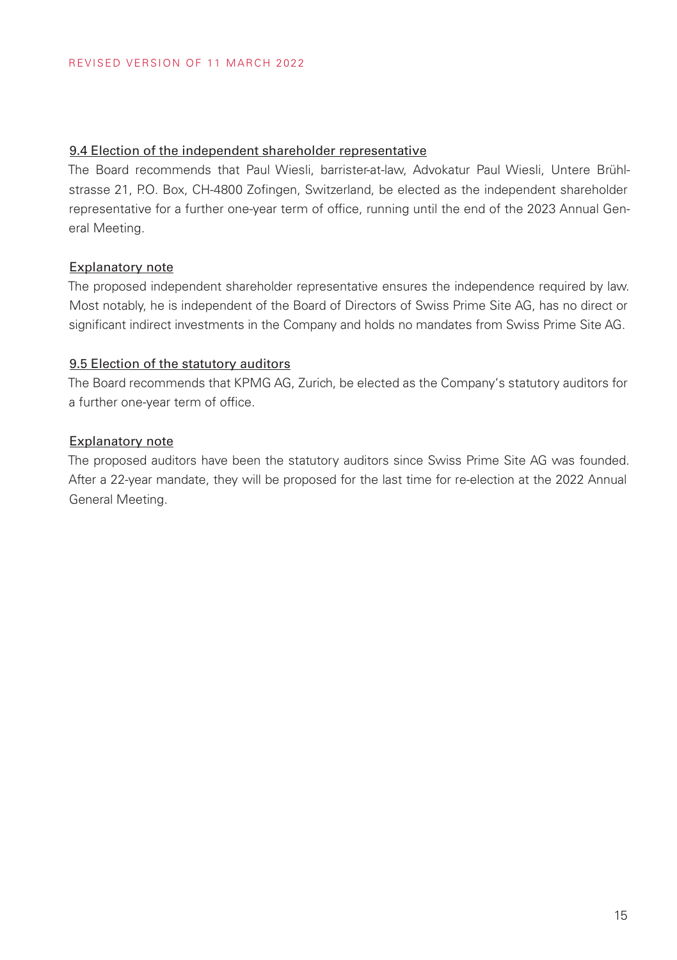#### 9.4 Election of the independent shareholder representative

The Board recommends that Paul Wiesli, barrister-at-law, Advokatur Paul Wiesli, Untere Brühlstrasse 21, P.O. Box, CH-4800 Zofingen, Switzerland, be elected as the independent shareholder representative for a further one-year term of office, running until the end of the 2023 Annual General Meeting.

#### Explanatory note

The proposed independent shareholder representative ensures the independence required by law. Most notably, he is independent of the Board of Directors of Swiss Prime Site AG, has no direct or significant indirect investments in the Company and holds no mandates from Swiss Prime Site AG.

#### 9.5 Election of the statutory auditors

The Board recommends that KPMG AG, Zurich, be elected as the Company's statutory auditors for a further one-year term of office.

#### Explanatory note

The proposed auditors have been the statutory auditors since Swiss Prime Site AG was founded. After a 22-year mandate, they will be proposed for the last time for re-election at the 2022 Annual General Meeting.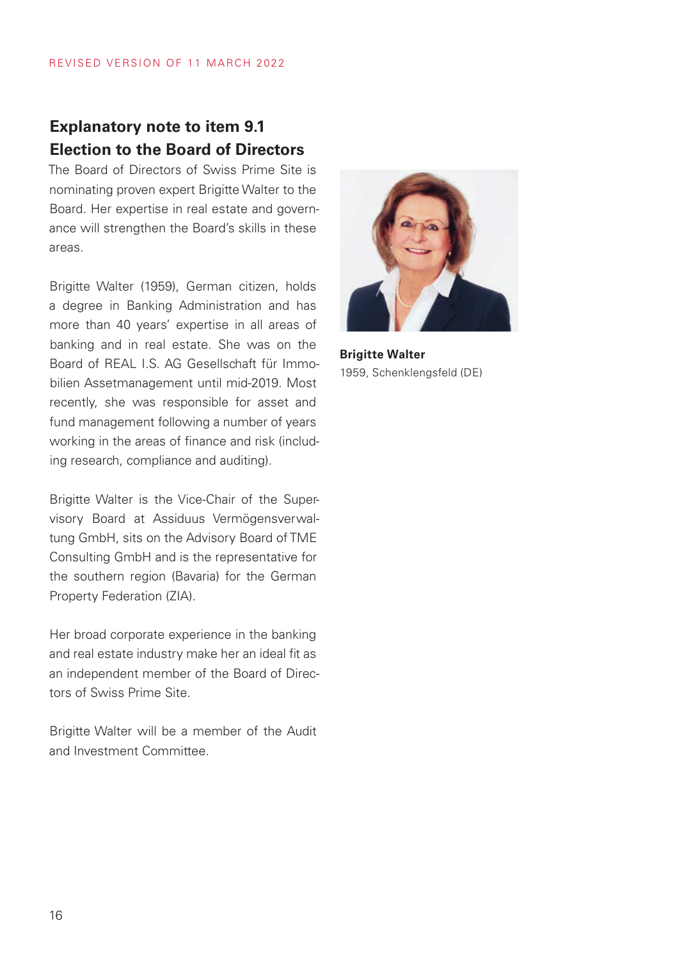### **Explanatory note to item 9.1 Election to the Board of Directors**

The Board of Directors of Swiss Prime Site is nominating proven expert Brigitte Walter to the Board. Her expertise in real estate and governance will strengthen the Board's skills in these areas.

Brigitte Walter (1959), German citizen, holds a degree in Banking Administration and has more than 40 years' expertise in all areas of banking and in real estate. She was on the Board of REAL I.S. AG Gesellschaft für Immobilien Assetmanagement until mid-2019. Most recently, she was responsible for asset and fund management following a number of years working in the areas of finance and risk (including research, compliance and auditing).

Brigitte Walter is the Vice-Chair of the Supervisory Board at Assiduus Vermögensverwaltung GmbH, sits on the Advisory Board of TME Consulting GmbH and is the representative for the southern region (Bavaria) for the German Property Federation (ZIA).

Her broad corporate experience in the banking and real estate industry make her an ideal fit as an independent member of the Board of Directors of Swiss Prime Site.

Brigitte Walter will be a member of the Audit and Investment Committee.



**Brigitte Walter** 1959, Schenklengsfeld (DE)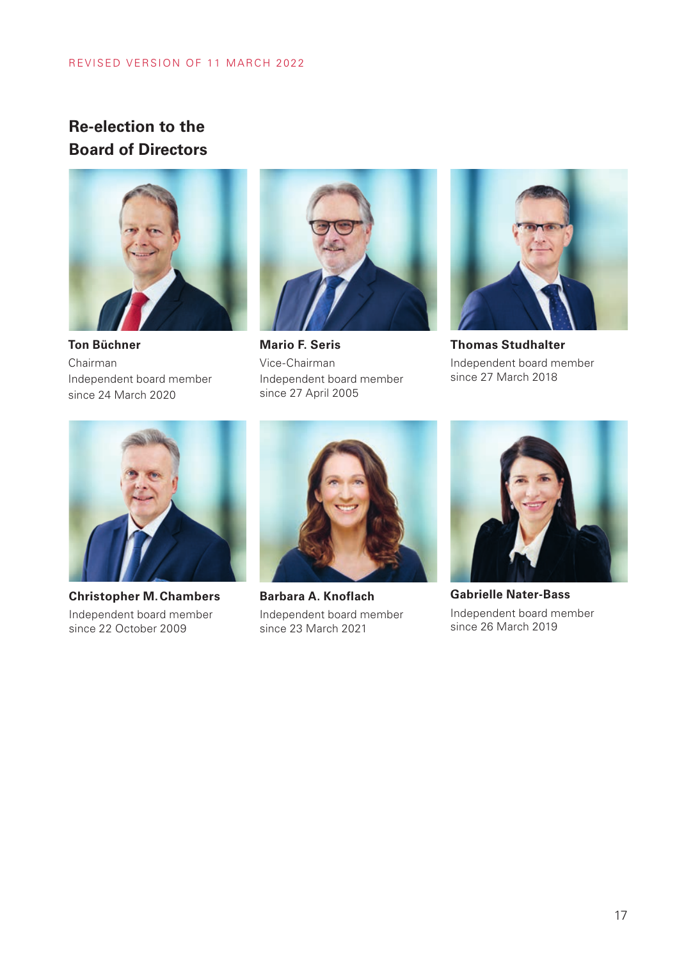### **Re-election to the Board of Directors**



**Ton Büchner** Chairman Independent board member since 24 March 2020



**Mario F. Seris** Vice-Chairman Independent board member since 27 April 2005



**Thomas Studhalter** Independent board member since 27 March 2018



**Christopher M.Chambers** Independent board member since 22 October 2009



**Barbara A. Knoflach** Independent board member since 23 March 2021



**Gabrielle Nater-Bass** Independent board member since 26 March 2019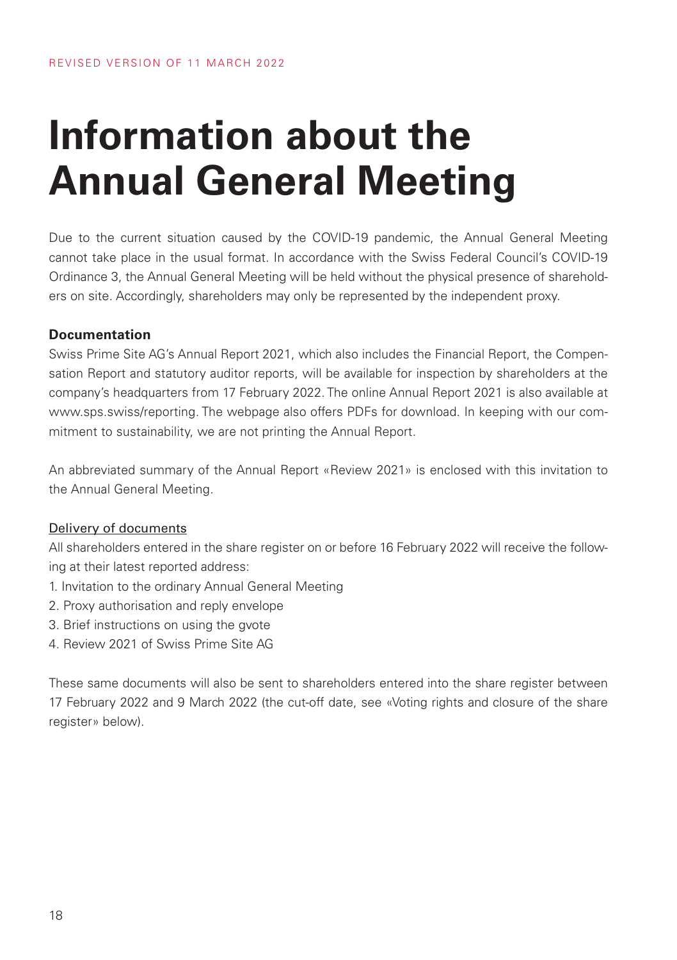# **Information about the Annual General Meeting**

Due to the current situation caused by the COVID-19 pandemic, the Annual General Meeting cannot take place in the usual format. In accordance with the Swiss Federal Council's COVID-19 Ordinance 3, the Annual General Meeting will be held without the physical presence of shareholders on site. Accordingly, shareholders may only be represented by the independent proxy.

#### **Documentation**

Swiss Prime Site AG's Annual Report 2021, which also includes the Financial Report, the Compensation Report and statutory auditor reports, will be available for inspection by shareholders at the company's headquarters from 17 February 2022. The online Annual Report 2021 is also available at www.sps.swiss/reporting. The webpage also offers PDFs for download. In keeping with our commitment to sustainability, we are not printing the Annual Report.

An abbreviated summary of the Annual Report «Review 2021» is enclosed with this invitation to the Annual General Meeting.

#### Delivery of documents

All shareholders entered in the share register on or before 16 February 2022 will receive the following at their latest reported address:

- 1. Invitation to the ordinary Annual General Meeting
- 2. Proxy authorisation and reply envelope
- 3. Brief instructions on using the gvote
- 4. Review 2021 of Swiss Prime Site AG

These same documents will also be sent to shareholders entered into the share register between 17 February 2022 and 9 March 2022 (the cut-off date, see «Voting rights and closure of the share register» below).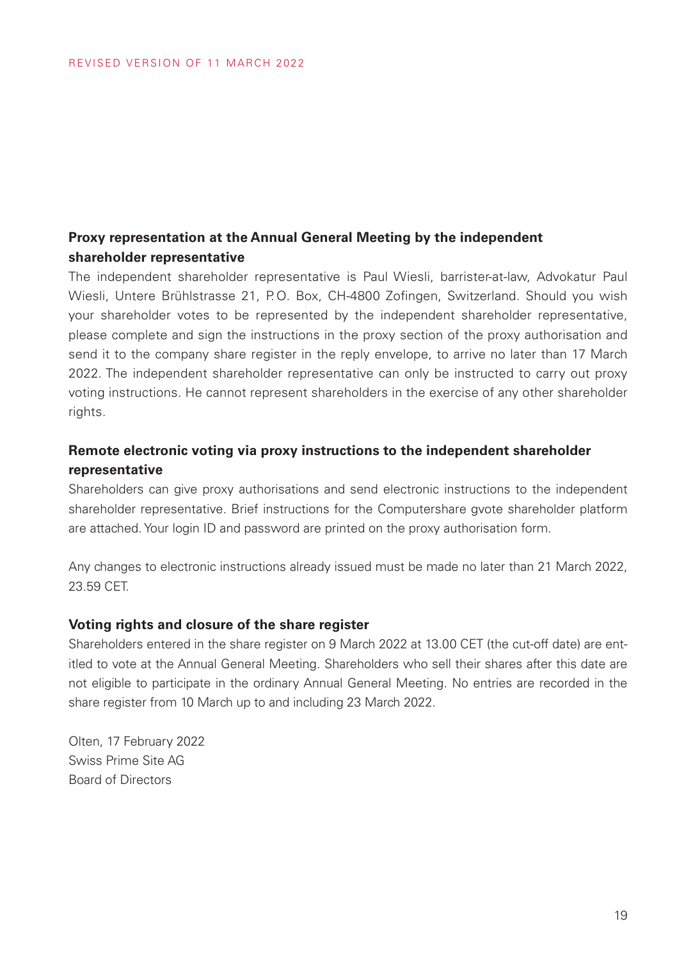### **Proxy representation at the Annual General Meeting by the independent shareholder representative**

The independent shareholder representative is Paul Wiesli, barrister-at-law, Advokatur Paul Wiesli, Untere Brühlstrasse 21, P.O. Box, CH-4800 Zofingen, Switzerland. Should you wish your shareholder votes to be represented by the independent shareholder representative, please complete and sign the instructions in the proxy section of the proxy authorisation and send it to the company share register in the reply envelope, to arrive no later than 17 March 2022. The independent shareholder representative can only be instructed to carry out proxy voting instructions. He cannot represent shareholders in the exercise of any other shareholder rights.

### **Remote electronic voting via proxy instructions to the independent shareholder representative**

Shareholders can give proxy authorisations and send electronic instructions to the independent shareholder representative. Brief instructions for the Computershare gvote shareholder platform are attached. Your login ID and password are printed on the proxy authorisation form.

Any changes to electronic instructions already issued must be made no later than 21 March 2022, 23.59 CET.

#### **Voting rights and closure of the share register**

Shareholders entered in the share register on 9 March 2022 at 13.00 CET (the cut-off date) are entitled to vote at the Annual General Meeting. Shareholders who sell their shares after this date are not eligible to participate in the ordinary Annual General Meeting. No entries are recorded in the share register from 10 March up to and including 23 March 2022.

Olten, 17 February 2022 Swiss Prime Site AG Board of Directors